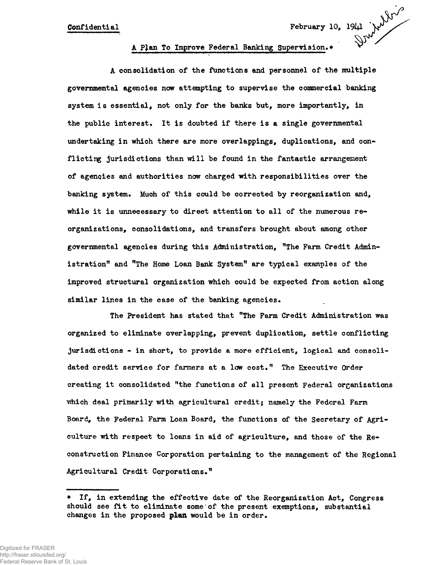## Confidential February 10, 1941 A Pjlan To Improve Federal Banking Supervision.\*

A consolidation of the functions and personnel of the multiple governmental agencies now attempting to supervise the commercial banking system is essential, not only for the banks but, more importantly, in the public interest. It is doubted if there is a single governmental undertaking in which there are more overlappings, duplications, and conflicting jurisdictions than will be found in the fantastic arrangement of agencies and authorities now charged with responsibilities over the banking system. Much of this could be corrected by reorganization and, while it is unnecessary to direct attention to all of the numerous reorganizations, consolidations, and transfers brought about among other governmental agencies during this Administration, "The Farm Credit Administration" and "The Home Loan Bank System" are typical examples of the improved structural organization which could be expected from action along similar lines in the case of the banking agencies.

The President has stated that "The Farm Credit Administration was organized to eliminate overlapping, prevent duplication, settle conflicting jurisdictions - in short, to provide a more efficient, logical and consolidated credit service for farmers at a low cost." The Executive Order creating it consolidated "the functions of all present Federal organizations which deal primarily with agricultural credit; namely the Federal Farm Board, the Federal Farm Loan Board, the functions of the Secretary of Agriculture with respect to loans in aid of agriculture, and those of the Reconstruction Finance Corporation pertaining to the management of the Regional Agricultural Credit Corporations."

If, in extending the effective date of the Reorganization Act, Congress should see fit to eliminate some of the present exemptions, substantial changes in the proposed **plan** would be in order.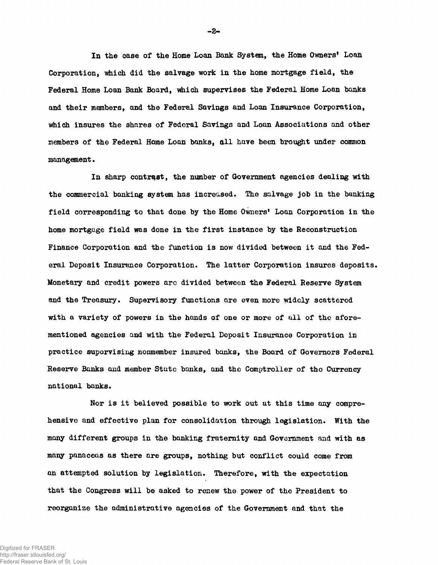**In the case of the Home Loan Bank System, the Home Owners<sup>1</sup> Loan Corporation, which did the salvage work in the home mortgage field, the Federal Home Loan Bank Board, which supervises the Federal Home Loan banks and their members, and the Federal Savings and Loan Insurance Corporation, which insures the shares of Federal Savings and Loan Associations and other members of the Federal Home Loan banks, all have been brought under common management•**

**In sharp contrast, the number of Government agencies dealing with the commercial banking system has increased. The salvage job in the banking field corresponding to that done by the Home Owners<sup>1</sup> Loan Corporation in the home mortgage field was done in the first instance by the Reconstruction Finance Corporation and the function is now divided between it and the Federal Deposit Insurance Corporation. The latter Corporation insures deposits. Monetary and credit powers arc divided between the Federal Reserve System and the Treasury. Supervisory functions are even more widely scattered with a variety of powers in the hands of one or more of all of the aforementioned agencies and with the Federal Deposit Insurance Corporation in practice supervising nonmember insured banks, the Board of Governors Federal Reserve Banks and member State banks, and the Comptroller of the Currency national banks.**

**Nor is it believed possible to work out at this time any comprehensive and effective plan for consolidation through legislation. With the many different groups in the banking fraternity and Government and with as many panaceas as there are groups, nothing but conflict could come from an attempted solution by legislation. Therefore, with the expectation that the Congress will be asked to renew the power of the President to reorganize the administrative agencies of the Government and that the**

 $-2-$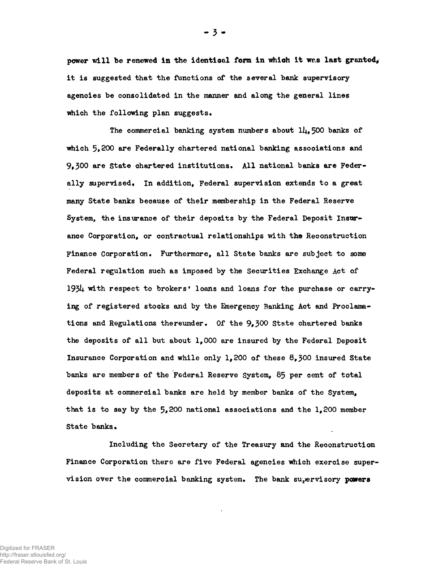power vdll be renewed **in** the identioal **form in which** it wr.s **last granted,** it is suggested that the functions of the several bank supervisory agencies be consolidated in the manner and along the general lines which the following plan suggests.

The commercial banking system numbers about  $1/4$ , 500 banks of which 5,200 are Federally chartered national banking associations and 9,300 are State chartered institutions. All national banks are Federally supervised. In addition, Federal supervision extends to a great many State banks because of their membership in the Federal Reserve System, the insurance of their deposits by the Federal Deposit Insurance Corporation, or contractual relationships with **the** Reconstruction Finance Corporation. Furthermore, all State banks are subject to some Federal regulation such as imposed by the Securities Exchange Act of 1934 with respect to brokers' loans and loans for the purchase or carrying of registered stocks and by the Emergency Banking Act and Proclamations and Regulations thereunder. Of the  $9,300$  State chartered banks the deposits of all but about 1,000 are insured by the Federal Deposit Insurance Corporation and while only 1,200 of these 8,300 insured State banks are members of the Federal Reserve System, 85 per cent of total deposits at commercial banks are held by member banks of the System, that is to say by the  $5,200$  national associations and the 1,200 member State banks.

Including the Secretary of the Treasury and the Reconstruction Finance Corporation there are five Federal agencies which exercise supervision over the commercial banking system. The bank supervisory powers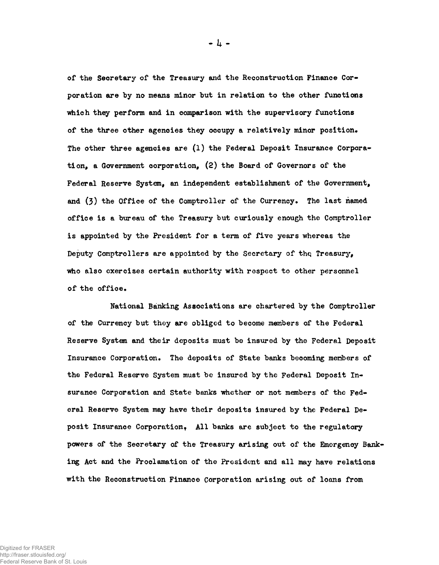**of the Secretary of the Treasury and the Reconstruction Finance Corporation are by no means minor but in relation to the other functions which they perform and in comparison with the supervisory functions of the three other agencies they occupy a relatively minor position\* The other three agencies are (1) the Federal Deposit Insurance Corporation, a Government corporation, (2) the Board of Governors of the Federal Reserve System, an independent establishment of the Government,** and (3) the Office of the Comptroller of the Currency. The last named **office is a bureau of the Treasury but curiously enough the Comptroller is appointed by the President for a term of five years whereas the Deputy Comptrollers are appointed by the Secretary of thq Treasury, who also exercises certain authority with respect to other personnel** of the office.

**National Banking Associations are chartered by the Comptroller of the Currency but they are obliged to become members of the Federal Reserve System and their deposits must be insured by the Federal Deposit Insurance Corporation\* The deposits of State banks becoming members of the Federal Reserve System must be insured by the Federal Deposit Insurance Corporation and State banks whether or not members of the Federal Reserve System may have their deposits insured by the Federal De**posit Insurance Corporation, All banks are subject to the regulatory **powers of the Secretary of the Treasury arising out of the Emergency Banking Act and the Proclamation of the President and all may have relations with the Reconstruction Finance Corporation arising out of loans from**

 $-4 -$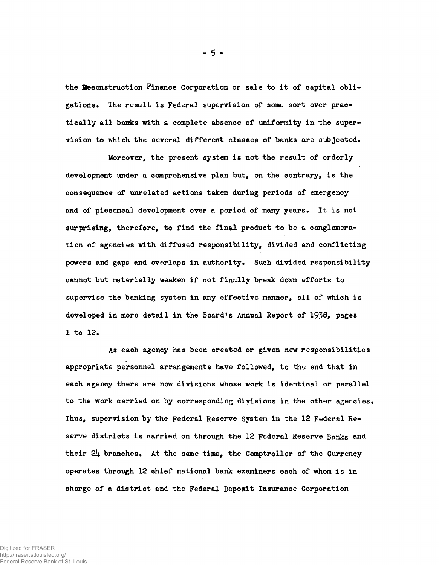the **Beconstruction Finance Corporation or sale to it of capital obligations. The result is Federal supervision of some sort over practically all banks with a complete absence of uniformity in the supervision to which the several different classes of banks are subjected.**

**Moreover, the present system is not the result of orderly** development under a comprehensive plan but, on the contrary, is the **consequence of unrelated actions taken during periods of emergency and of piecemeal development over a period of many years. It is not surprising, therefore, to find the final product to be a conglomeration of agencies with diffused responsibility, divided and conflicting powers and gaps and overlaps in authority. Such divided responsibility cannot but materially weaken if not finally break down efforts to supervise the banking system in any effective manner, all of which is** developed in more detail in the Board's Annual Report of 1938, pages **1 to 12,**

**As each agency has been created or given new responsibilities appropriate personnel arrangements have followed, to the end that in each agency there are now divisions whose work is identical or parallel to the work carried on by corresponding divisions in the other agencies. Thus, supervision by the Federal Reserve System in the 12 Federal Reserve districts is carried on through the 12 Federal Reserve Banks and their 2k branches. At the same time, the Comptroller of the Currency operates through 12 chief national bank examiners each of whom is in charge of a district and the Federal Deposit Insurance Corporation**

**- 5 \***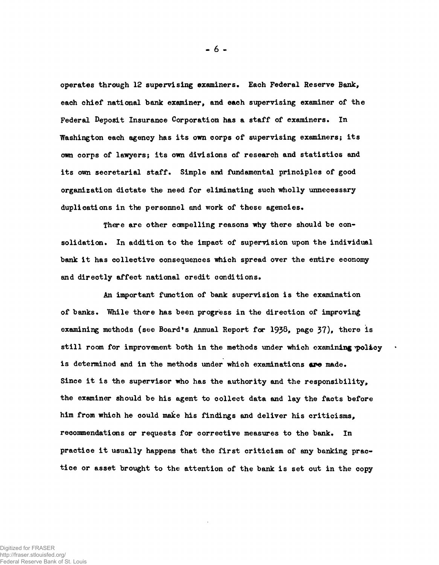operates through 12 supervising examiners» Each Federal Reserve Bank, each chief national bank examiner, and each supervising examiner of the Federal Deposit Insurance Corporation has a staff of examiners. In Washington each agency has its own corps of supervising examiners; its own corps of lawyers; its own divisions of research and statistics and its own secretarial staff. Simple and fundamental principles of good organization dictate the need for eliminating such wholly unnecessary duplications in the personnel and work of these agencies.

There are other compelling reasons why there should be consolidation. In addition to the impact of supervision upon the individual bank it has collective consequences which spread over the entire economy and directly affect national credit conditions.

An important function of bank supervision is the examination of banks. "While there has been progress in the direction of improving examining methods (see Board's Annual Report for 1938, page 37), there is still room for improvement both in the methods under which examining policy is determined and in the methods under which examinations are made. Since it is the supervisor who has the authority and the responsibility, the examiner should be his agent to collect data and lay the facts before him from which he could make his findings and deliver his criticisms, recommendations or requests for corrective measures to the bank. In practice it usually happens that the first criticism of any banking practice or asset brought to the attention of the bank is set out in the copy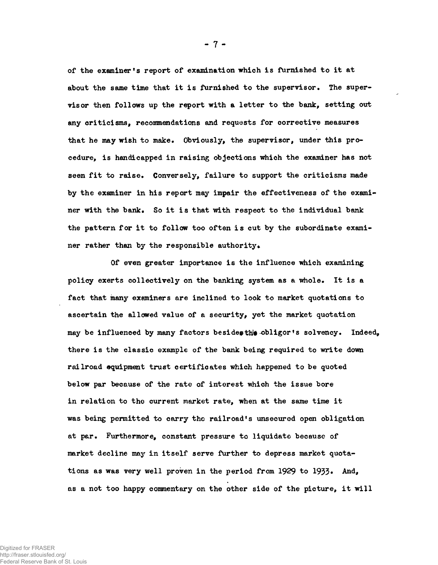**of the examiner's report of examination which is furnished to it at** about the same time that it is furnished to the supervisor. The super**visor then follows up the report with a letter to the bank, setting out any criticisms, recommendations and requests for corrective measures that he may wish to make. Obviously, the supervisor, under this procedure, is handicapped in raising objections which the examiner has not seen fit to raise. Conversely, failure to support the criticisms made by the examiner in his report may impair the effectiveness of the examiner with the bank. So it is that with respect to the individual bank the pattern for it to follow too often is cut by the subordinate exami**ner rather than by the responsible authority.

**- 7 -**

**Of even greater importance is the influence which examining policy exerts collectively on the banking system as a whole. It is a fact that many examiners are inclined to look to market quotations to ascertain the allowed value of a security, yet the market quotation** may be influenced by many factors besides the obligor's solvency. Indeed, **there is the classic example of the bank being required to write down railroad equipment trust certificates which happened to be quoted below par because of the rate of interest which the issue bore in relation to the current market rate, when at the same time it was being permitted to carry the railroad's unsecured open obligation at par\* Furthermore, constant pressure to liquidate because of market decline may in itself serve further to depress market quota**tions as was very well proven in the period from 1929 to 1933. And, **as a not too happy commentary on the other side of the picture, it will**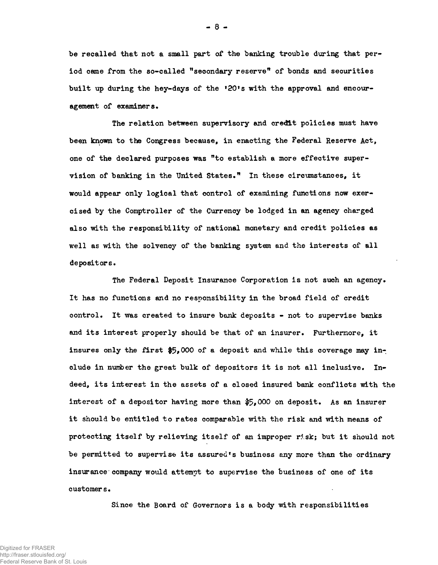**be recalled that not a small part of the banking trouble during that period came from the so-called "secondary reserve<sup>11</sup> of bonds and securities** built up during the hey-days of the '20's with the approval and encour**agement of examiners.**

**The relation between supervisory and credit policies must have been known to the Congress because, in enacting the Federal Reserve Act, one of the declared purposes was <sup>M</sup>to establish a more effective supervision of banking in the United States•" In these circumstances, it would appear only logical that control of examining functions now exercised by the Comptroller of the Currency be lodged in an agency charged also with the responsibility of national monetary and credit policies as well as with the solvency of the banking system and the interests of all depositors.**

**The Federal Deposit Insurance Corporation is not such an agency\* It has no functions and no responsibility in the broad field of credit control. It was created to insure bank deposits - not to supervise banks and its interest properly should be that of an insurer. Furthermore, it** insures only the first \$5,000 of a deposit and while this coverage may include in number the great bulk of depositors it is not all inclusive. In**deed, its interest in the assets of a closed insured bank conflicts with the interest of a depositor having more than \$5\*000 on deposit. As an insurer it should be entitled to rates comparable with the risk and with means of protecting itself by relieving itself of an improper risk; but it should not be permitted to supervise its assured<sup>f</sup>s business any more than the ordinary insurance company would attempt to supervise the business of one of its customer s•**

**Since the Board of Governors is a body with responsibilities**

**- 8 -**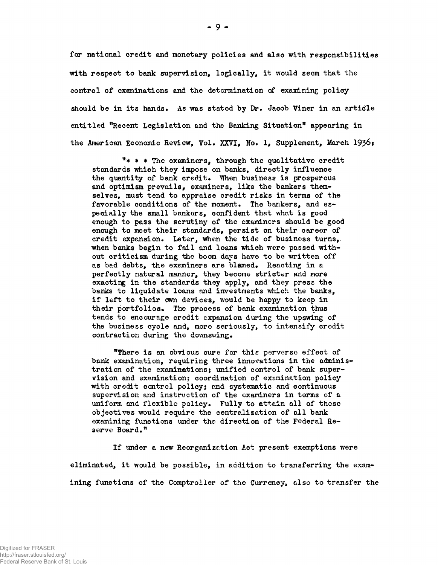for national credit and monetary policies and also with responsibilities with respect to bank supervision, logically, it would seem that the control of examinations and the determination of examining policy should be in its hands. As was stated by Dr. Jacob Viner in an article entitled "Recent Legislation and the Banking Situation" appearing in the American Economic Review, Vol. XXVI, No. 1, Supplement, March 193&:

 $"$  \* \* The examiners, through the qualitative credit standards which they impose on banks, directly influence the quantity of bank credit. When business is prosperous and optimism prevails, examiners, like the bankers themselves, must tend to appraise credit risks in terms of the favorable conditions of the moment. The bankers, and especially the small bonkers, confident that what is good enough to pass the scrutiny of the examiners should be good enough to meet their standards, persist on their career of credit expansion. Later, when the tide of business turns, when banks begin to fail and loans which were passed without criticism during the boom days have to be written off as bad debts, the examiners are blamed. Reacting in a perfectly natural manner, they become stricter and more exacting in the standards they apply, and they press the banks to liquidate loans and investments which the banks, if left to their own devices, would be happy to keep in their portfolios. The process of bank examination thus tends to encourage credit expansion during the upswing of the business cycle and, more seriously, to intensify credit contraction during the dovmswing.

<sup>n</sup>Tliere is an obvious cure for this perverse effect of bank examination, requiring three innovations in the administration of the examinations; unified control of bank supervision and examination: coordination of examination policy with credit control policy; and systematic and continuous supervision and instruction of the examiners in terms of a uniform and flexible policy. Fully to attain all of these objectives would require the centralization of all bank examining functions under the direction of the Federal Reserve Board."

If under a new Reorganizc.tion Act present exemptions were eliminated, it would be possible, in addition to transferring the examining functions of the Comptroller of the Currency, also to transfer the

**• 9 -**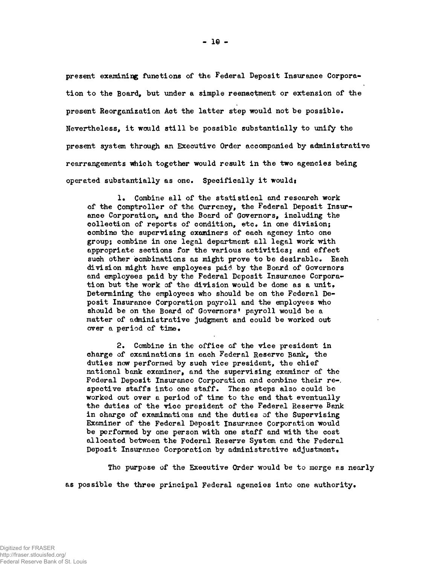**present examining functions of the Federal Deposit Insurance Corporation to the Board, but under a simple reenactment or extension of the present Reorganization Act the latter step would not be possible. Nevertheless, it would still be possible substantially to unify the present system through an Executive Order accompanied by administrative rearrangements which together would result in the two agencies being operated substantially as one. Specifically it would\***

1. Combine all of the statistical and research work **of the Comptroller of the Currency, the Federal Deposit Insure ance Corporation, and the Board of Governors, including the collection of reports of condition, etc. in one division; combine the supervising examiner3 of each agency into one group; combine in one legal department all legal work with appropriate sections for the various activities; and effect such other oombinations as might prove to be desirable. Each division might have employees paid by the Board of Governors** and employees paid by the Federal Deposit Insurance Corporation but the work of the division would be done as a unit, **Determining the employees who should be on the Federal Deposit Insurance Corporation payroll and the employees who should be on the Board of Governors<sup>1</sup> payroll would be a matter of administrative judgment and could be worked out** over a period of time.

**2. Combine in the office of the vice president in charge of examinations in each Federal Reserve Bank, the duties now performed by such vice president, the chief national bank examiner, and the supervising examiner of the Federal Deposit Insurance Corporation and conbine their re-, spective staffs into one staff. These steps also could be worked out over a period of time to the end that eventually the duties of the vice president of the Federal Reserve Bank in charge of examinations and the duties of the Supervising Examiner of the Federal Deposit Insurance Corporation would be performed by one person with one staff and with the cost allocated between the Federal Reserve System and the Federal Deposit Insurance Corporation by administrative adjustment.**

**The purpose of the Executive Order would be to merge as nearly as possible the three principal Federal agencies into one authority.**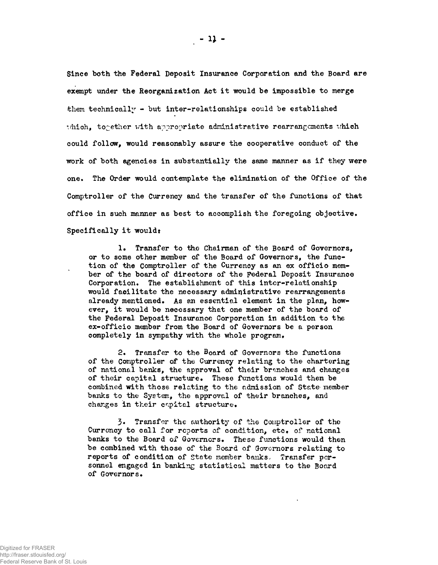Since both the Federal Deposit Insurance Corporation and the Board are exempt under the Reorganization Act it would be impossible to merge them technically - but inter-relationships could be established which, together with appropriate administrative rearrangements which could follow, would reasonably assure the cooperative conduct of the work of both agencies in substantially the same manner as if they were one. The Order would contemplate the elimination of the Office of the Comptroller of the Currency and the transfer of the functions of that office in such manner as best to accomplish the foregoing objective. Specifically it would:

1. Transfer to the Chairman of the Board of Governors, or to some other member of the Board of Governors, the function of the Comptroller of the Currency as an ex officio member of the board of directors of the Federal Deposit Insurance Corporation. The establishment of this inter-relationship would facilitate the necessary administrative rearrangements already mentioned. As an essential element in the plan, however, it would be necessary that one member of the board of the Federal Deposit Insurance Corporation in addition to the ex-officio member from the Board of Governors be a person completely in sympathy with the whole program.

2. Transfer to the Board of Governors the functions of the Comptroller of the Currency relating to the chartering of national banks, the approval of their branches and changes of their capital structure. These functions would then be combined with those relating to the admission of State member banks to the System, the approval of their branches, and changes in their capital structure.

3« Transfer the authority of the Comptroller of the Currency to call for reports of condition, etc. of national banks to the Board of Governors. These functions would then be combined with those of the Board of Governors relating to reports of condition of State member banks. Transfer personnel engaged in banking statistical matters to the Board of Governors.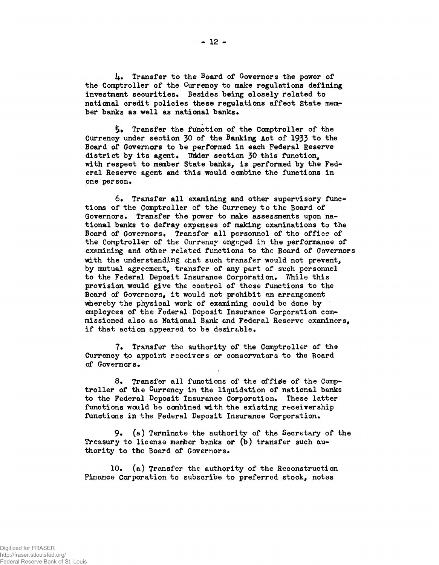**l±. Transfer to the Board of Governors the power of the Comptroller of the Currency to make regulations defining investment securities. Besides being closely related to national credit policies these regulations affect State mem**ber banks as well as national banks.

**£• Transfer the function of the Comptroller of the** Currency under section 30 of the Banking Act of 1933 to the **Board of Governors to be performed in each Federal Reserve** district by its agent. Under section 30 this function. **with respect to member State banks, is performed by the Federal Reserve agent and this would combine the functions in one person.**

**6. Transfer all examining and other supervisory functions of the Comptroller of the Currency to the Board of Governors. Transfer the power to make assessments upon national banks to defray expenses of making examinations to the Board of Governors. Transfer all personnel of the office of the Comptroller of the Currency engaged in the performance of examining and other related functions to the Board of Governors with the understanding chat such transfer would not prevent, by mutual agreement, transfer of any part of such personnel** to the Federal Deposit Insurance Corporation. While this **provision would give the control of these functions to the Board of Governors, it would not prohibit an arrangement whereby the physical work of examining could be done by employees of the Federal Deposit Insurance Corporation commissioned also as National Bank end Federal Reserve examiners, if that action appeared to be desirable.**

**7. Transfer the authority of the Comptroller of the Currency to appoint receivers or conservators to the Board of Governors.**

8. Transfer all functions of the office of the Comp**troller of the Currency in the liquidation of national banks to the Federal Deposit Insurance Corporation. These latter functions would be combined with the existing receivership functions in the Federal Deposit Insurance Corporation.**

**9« (a) Terminate the authority of the Secretary of the Treasury to license member banks or (b) transfer such authority to the Board of Governors.**

**10. (a) Transfer the authority of the Reconstruction Finance Corporation to subscribe to preferred stock, notes**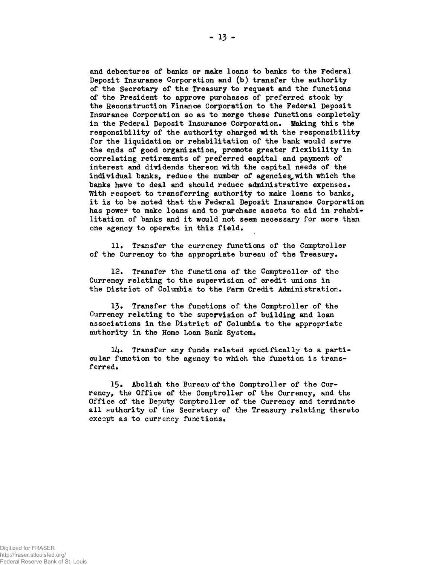**and debentures of banks or make loans to banks to the Federal Deposit Insurance Corporation and (b) transfer the authority of the Secretary of the Treasury to request and the functions of the President to approve purchases of preferred stock by the Reconstruction Finance Corporation to the Federal Deposit Insurance Corporation so as to merge these functions completely in the Federal Deposit Insurance Corporation. Making this the responsibility of the authority charged with the responsibility for the liquidation or rehabilitation of the bank would serve the ends of good organization, promote greater flexibility in correlating retirements of preferred eapital and payment of interest and dividends thereon with the capital needs of the individual banks, reduce the number of agencies#with which the banks have to deal and should reduce administrative expenses• With respect to transferring authority to make loans to banks, it is to be noted that the Federal Deposit Insurance Corporation has power to make loans and to purchase assets to aid in rehabilitation of banks and it would not seem necessary for more than one agency to operate in this field.**

**11• Transfer the currency functions of the Comptroller** of the Currency to the appropriate bureau of the Treasury.

**12. Transfer the functions of the Comptroller of the Currency relating to the supervision of credit unions in the District of Columbia to the Farm Credit Administration.**

**13• Transfer the functions of the Comptroller of the Currency relating to the supervision of building and loan associations in the District of Columbia to the appropriate authority in the Home Loan Bank System.**

**ill.. Transfer any funds related specifically to a particular function to the agency to which the function is transferred.**

15. Abolish the Bureau of the Comptroller of the Cur**rency, the Office of the Comptroller of the Currency, and the Office of the Deputy Comptroller of the Currency and terminate all authority of the Secretary of the Treasury relating thereto except as to currency functions.**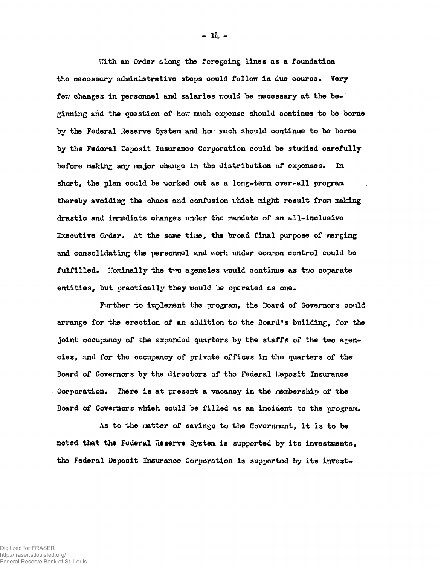With an Order along the foregoing lines as a foundation **the necessary administrative steps could follow in due course• Very few changes in personnel and salaries rould be necessary at the beginning and the question of hov.<sup>r</sup> rraich oxponso should continue to be borne by the Federal Reserve System and hear imxoh should continue to be borne by the Federal Deposit Insurance Corporation could be studied carefully before making any major change in the distribution of expenses. In short, the plan could be worked out as a long-term over-all program thereby avoiding the chaos and confusion vhich might result from making drastic and imrediate changes under the mandate of an all-inclusive** Executive Order. At the same time, the broad final purpose of merging **and consolidating the personnel and work tinder common control could be** fulfilled. Nominally the two agencies would continue as two separate entities, but practically they would be operated as one.

**Further to implement the program, the 3oard of Governors could arrange for the erection of an addition to the Board\*s building, for the** joint occupancy of the expanded quarters by the staffs of the two agen**cies, and for the occupancy of private offices in the quarters of the Board of Governors by the directors of tho Federal Deposit Insurance Corporation. There is at present a vacancy in tho membership of the Board of Governors which could be filled as an incident to the program.**

As to the matter of savings to the Government, it is to be **noted that the Federal Reserve System is supported by its investments, the Federal Deposit Insurance Corporation is supported by its invest-**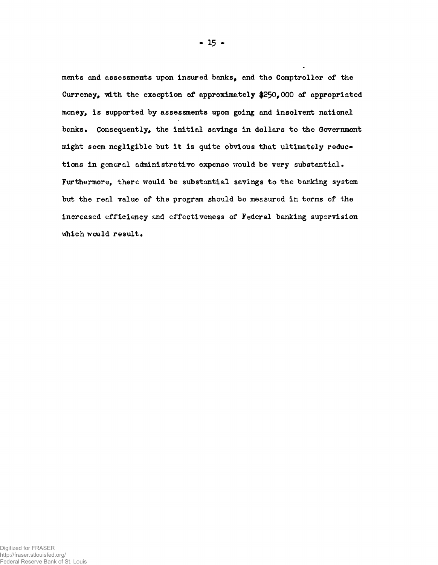**ments and assessments upon insured banks, and the Comptroller of the** Currency, with the exception of approximately \$250,000 of appropriated **money, is supported by assessments upon going and insolvent national banks • Consequently, the initial savings in dollars to the Government might seem negligible but it is quite obvious that ultimately reduce tions in general administrative expense would be very substantial. Furthermore, there would be substantial savings to the banking system but the real value of the program should be measured in terms of the increased efficiency and effectiveness of Federal banking supervision** which would result.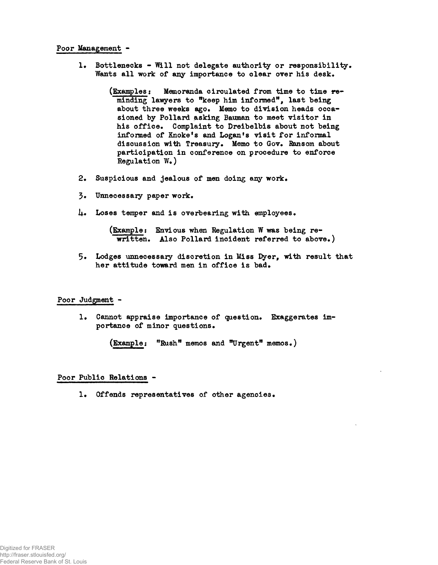## **Poor Management -**

**1. Bottlenecks - Will not delegate authority or responsibility. Wants all work of any importance to clear over his desk.**

> **(Examples: Memoranda circulated from time to time reminding lawyers to "keep him informed<sup>11</sup>, last being about three weeks ago. Memo to division heads occasioned by Pollard asking Bauraan to meet visitor in his office. Complaint to Dreibelbis about not being informed of Knoke<sup>f</sup>s and Logan<sup>f</sup>s visit for informal** discussion with Treasury. Memo to Gov. Ransom about **participation in conference on procedure to enforce Regulation W.)**

- **2. Suspicious and jealous of men doing any work.**
- **3« Unnecessary paper work.**
- **l±\* Loses temper and is overbearing with employees.**

**(Example: Envious when Regulation W was being rewritten. Also Pollard incident referred to above.)**

**5» Lodges unnecessary discretion in Miss Pyer, with result that her attitude toward men in office is bad.**

## **Poor Judgment -**

**1. Cannot appraise importance of question. Exaggerates importance of minor questions.**

**(Example; ffRushft memos and "Urgent<sup>w</sup> memos.)**

## **Poor Public Relations -**

**1. Offends representatives of other agencies.**